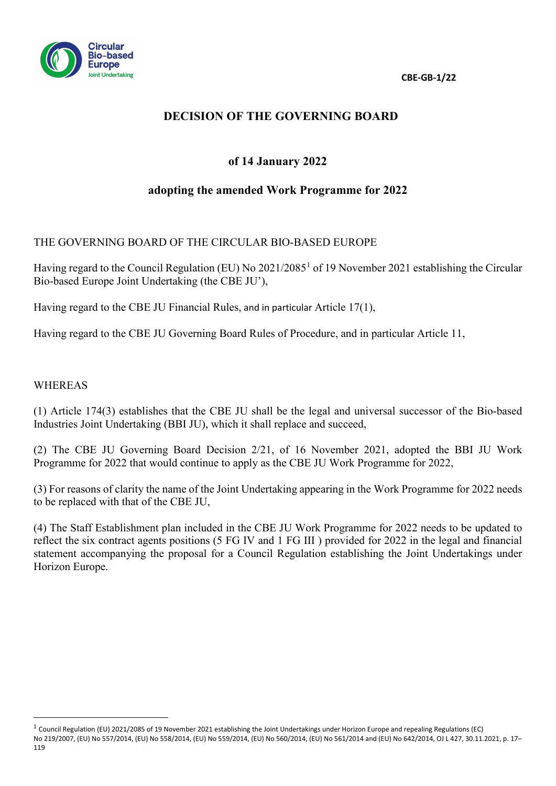**CBE-GB-1/22**



# **DECISION OF THE GOVERNING BOARD**

# **of 14 January 2022**

## **adopting the amended Work Programme for 2022**

### THE GOVERNING BOARD OF THE CIRCULAR BIO-BASED EUROPE

Having regard to the Council Regulation (EU) No 202[1](#page-0-0)/2085<sup>1</sup> of 19 November 2021 establishing the Circular Bio-based Europe Joint Undertaking (the CBE JU'),

Having regard to the CBE JU Financial Rules, and in particular Article 17(1),

Having regard to the CBE JU Governing Board Rules of Procedure, and in particular Article 11,

#### WHEREAS

(1) Article 174(3) establishes that the CBE JU shall be the legal and universal successor of the Bio-based Industries Joint Undertaking (BBI JU), which it shall replace and succeed,

(2) The CBE JU Governing Board Decision 2/21, of 16 November 2021, adopted the BBI JU Work Programme for 2022 that would continue to apply as the CBE JU Work Programme for 2022,

(3) For reasons of clarity the name of the Joint Undertaking appearing in the Work Programme for 2022 needs to be replaced with that of the CBE JU,

(4) The Staff Establishment plan included in the CBE JU Work Programme for 2022 needs to be updated to reflect the six contract agents positions (5 FG IV and 1 FG III ) provided for 2022 in the legal and financial statement accompanying the proposal for a Council Regulation establishing the Joint Undertakings under Horizon Europe.

<span id="page-0-0"></span> $1$  Council Regulation (EU) 2021/2085 of 19 November 2021 establishing the Joint Undertakings under Horizon Europe and repealing Regulations (EC) No 219/2007, (EU) No 557/2014, (EU) No 558/2014, (EU) No 559/2014, (EU) No 560/2014, (EU) No 561/2014 and (EU) No 642/2014, OJ L 427, 30.11.2021, p. 17– 119